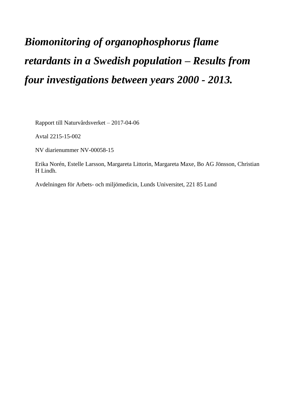# *Biomonitoring of organophosphorus flame retardants in a Swedish population – Results from four investigations between years 2000 - 2013.*

Rapport till Naturvårdsverket – 2017-04-06

Avtal 2215-15-002

NV diarienummer NV-00058-15

Erika Norén, Estelle Larsson, Margareta Littorin, Margareta Maxe, Bo AG Jönsson, Christian H Lindh.

Avdelningen för Arbets- och miljömedicin, Lunds Universitet, 221 85 Lund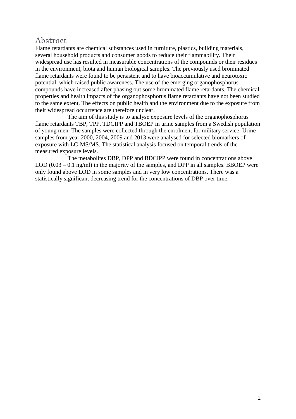# <span id="page-1-0"></span>Abstract

Flame retardants are chemical substances used in furniture, plastics, building materials, several household products and consumer goods to reduce their flammability. Their widespread use has resulted in measurable concentrations of the compounds or their residues in the environment, biota and human biological samples. The previously used brominated flame retardants were found to be persistent and to have bioaccumulative and neurotoxic potential, which raised public awareness. The use of the emerging organophosphorus compounds have increased after phasing out some brominated flame retardants. The chemical properties and health impacts of the organophosphorus flame retardants have not been studied to the same extent. The effects on public health and the environment due to the exposure from their widespread occurrence are therefore unclear.

The aim of this study is to analyse exposure levels of the organophosphorus flame retardants TBP, TPP, TDCIPP and TBOEP in urine samples from a Swedish population of young men. The samples were collected through the enrolment for military service. Urine samples from year 2000, 2004, 2009 and 2013 were analysed for selected biomarkers of exposure with LC-MS/MS. The statistical analysis focused on temporal trends of the measured exposure levels.

The metabolites DBP, DPP and BDCIPP were found in concentrations above LOD  $(0.03 - 0.1 \text{ ng/ml})$  in the majority of the samples, and DPP in all samples. BBOEP were only found above LOD in some samples and in very low concentrations. There was a statistically significant decreasing trend for the concentrations of DBP over time.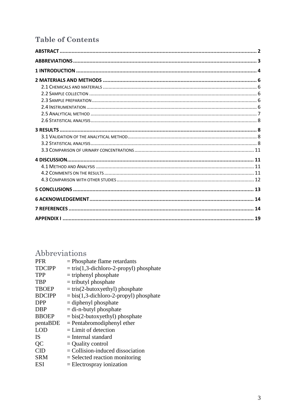# **Table of Contents**

# <span id="page-2-0"></span>Abbreviations

| <b>PFR</b><br><b>TDCIPP</b><br><b>TPP</b><br><b>TBP</b><br><b>TBOEP</b><br><b>BDCIPP</b><br><b>DPP</b><br>DBP<br><b>BBOEP</b><br>pentaBDE<br><b>LOD</b> | $=$ Phosphate flame retardants<br>$=$ tris(1,3-dichloro-2-propyl) phosphate<br>$=$ triphenyl phosphate<br>$=$ tributyl phosphate<br>$=$ tris(2-butoxyethyl) phosphate<br>$=$ bis(1,3-dichloro-2-propyl) phosphate<br>$=$ diphenyl phosphate<br>$=$ di-n-butyl phosphate<br>$= bis(2-butoxyethyl) phosphate$<br>$=$ Pentabromodiphenyl ether<br>$=$ Limit of detection |
|---------------------------------------------------------------------------------------------------------------------------------------------------------|-----------------------------------------------------------------------------------------------------------------------------------------------------------------------------------------------------------------------------------------------------------------------------------------------------------------------------------------------------------------------|
|                                                                                                                                                         |                                                                                                                                                                                                                                                                                                                                                                       |
|                                                                                                                                                         |                                                                                                                                                                                                                                                                                                                                                                       |
|                                                                                                                                                         |                                                                                                                                                                                                                                                                                                                                                                       |
|                                                                                                                                                         |                                                                                                                                                                                                                                                                                                                                                                       |
|                                                                                                                                                         |                                                                                                                                                                                                                                                                                                                                                                       |
|                                                                                                                                                         |                                                                                                                                                                                                                                                                                                                                                                       |
| <b>IS</b>                                                                                                                                               | $=$ Internal standard                                                                                                                                                                                                                                                                                                                                                 |
| QC                                                                                                                                                      | $=$ Quality control                                                                                                                                                                                                                                                                                                                                                   |
| $\overline{\text{CID}}$                                                                                                                                 | $=$ Collision-induced dissociation                                                                                                                                                                                                                                                                                                                                    |
| <b>SRM</b>                                                                                                                                              | $=$ Selected reaction monitoring                                                                                                                                                                                                                                                                                                                                      |
| ESI                                                                                                                                                     | $=$ Electrospray ionization                                                                                                                                                                                                                                                                                                                                           |
|                                                                                                                                                         |                                                                                                                                                                                                                                                                                                                                                                       |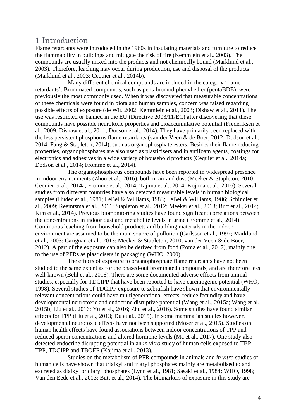# <span id="page-3-0"></span>1 Introduction

Flame retardants were introduced in the 1960s in insulating materials and furniture to reduce the flammability in buildings and mitigate the risk of fire (Kemmlein et al., 2003). The compounds are usually mixed into the products and not chemically bound (Marklund et al., 2003). Therefore, leaching may occur during production, use and disposal of the products (Marklund et al., 2003; Cequier et al., 2014b).

Many different chemical compounds are included in the category 'flame retardants'. Brominated compounds, such as pentabromodiphenyl ether (pentaBDE), were previously the most commonly used. When it was discovered that measurable concentrations of these chemicals were found in biota and human samples, concern was raised regarding possible effects of exposure (de Wit, 2002; Kemmlein et al., 2003; Dishaw et al., 2011). The use was restricted or banned in the EU (Directive 2003/11/EC) after discovering that these compounds have possible neurotoxic properties and bioaccumulative potential (Frederiksen et al., 2009; Dishaw et al., 2011; Dodson et al., 2014). They have primarily been replaced with the less persistent phosphorus flame retardants (van der Veen & de Boer, 2012; Dodson et al., 2014; Fang & Stapleton, 2014), such as organophosphate esters. Besides their flame reducing properties, organophosphates are also used as plasticisers and in antifoam agents, coatings for electronics and adhesives in a wide variety of household products (Cequier et al., 2014a; Dodson et al., 2014; Fromme et al., 2014).

The organophosphorus compounds have been reported in widespread presence in indoor environments (Zhou et al., 2016), both in air and dust (Meeker & Stapleton, 2010; Cequier et al., 2014a; Fromme et al., 2014; Tajima et al., 2014; Kojima et al., 2016). Several studies from different countries have also detected measurable levels in human biological samples (Hudec et al., 1981; LeBel & Williams, 1983; LeBel & Williams, 1986; Schindler et al., 2009; Reemtsma et al., 2011; Stapleton et al., 2012; Meeker et al., 2013; Butt et al., 2014; Kim et al., 2014)*.* Previous biomonitoring studies have found significant correlations between the concentrations in indoor dust and metabolite levels in urine (Fromme et al., 2014). Continuous leaching from household products and building materials in the indoor environment are assumed to be the main source of pollution (Carlsson et al., 1997; Marklund et al., 2003; Carignan et al., 2013; Meeker & Stapleton, 2010; van der Veen & de Boer, 2012). A part of the exposure can also be derived from food (Poma et al., 2017), mainly due to the use of PFRs as plasticisers in packaging (WHO, 2000).

The effects of exposure to organophosphate flame retardants have not been studied to the same extent as for the phased-out brominated compounds, and are therefore less well-known (Behl et al., 2016). There are some documented adverse effects from animal studies, especially for TDCIPP that have been reported to have carcinogenic potential (WHO, 1998). Several studies of TDCIPP exposure to zebrafish have shown that environmentally relevant concentrations could have multigenerational effects, reduce fecundity and have developmental neurotoxic and endocrine disruptive potential (Wang et al., 2015a; Wang et al., 2015b; Liu et al., 2016; Yu et al., 2016; Zhu et al., 2016). Some studies have found similar effects for TPP (Liu et al., 2013; Du et al., 2015). In some mammalian studies however, developmental neurotoxic effects have not been supported (Moser et al., 2015). Studies on human health effects have found associations between indoor concentrations of TPP and reduced sperm concentrations and altered hormone levels (Ma et al., 2017). One study also detected endocrine disrupting potential in an *in vitro* study of human cells exposed to TBP, TPP, TDCIPP and TBOEP (Kojima et al., 2013).

Studies on the metabolism of PFR compounds in animals and *in vitro* studies of human cells have shown that trialkyl and triaryl phosphates mainly are metabolised to and excreted as dialkyl or diaryl phosphates (Lynn et al., 1981; Sasaki et al., 1984; WHO, 1998; Van den Eede et al., 2013; Butt et al., 2014). The biomarkers of exposure in this study are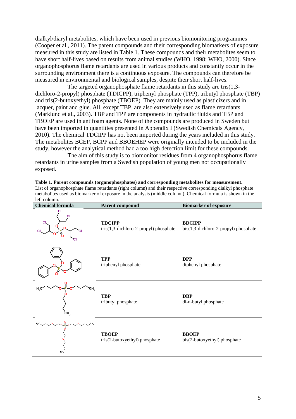dialkyl/diaryl metabolites, which have been used in previous biomonitoring programmes (Cooper et al., 2011). The parent compounds and their corresponding biomarkers of exposure measured in this study are listed in Table 1. These compounds and their metabolites seem to have short half-lives based on results from animal studies (WHO, 1998; WHO, 2000). Since organophosphorus flame retardants are used in various products and constantly occur in the surrounding environment there is a continuous exposure. The compounds can therefore be measured in environmental and biological samples, despite their short half-lives.

The targeted organophosphate flame retardants in this study are tris(1,3 dichloro-2-propyl) phosphate (TDICPP), triphenyl phosphate (TPP), tributyl phosphate (TBP) and tris(2-butoxyethyl) phosphate (TBOEP). They are mainly used as plasticizers and in lacquer, paint and glue. All, except TBP, are also extensively used as flame retardants (Marklund et al., 2003). TBP and TPP are components in hydraulic fluids and TBP and TBOEP are used in antifoam agents. None of the compounds are produced in Sweden but have been imported in quantities presented in Appendix I (Swedish Chemicals Agency, 2010). The chemical TDCIPP has not been imported during the years included in this study. The metabolites BCEP, BCPP and BBOEHEP were originally intended to be included in the study, however the analytical method had a too high detection limit for these compounds.

The aim of this study is to biomonitor residues from 4 organophosphorus flame retardants in urine samples from a Swedish population of young men not occupationally exposed.

**Table 1. Parent compounds (organophosphates) and corresponding metabolites for measurement.** List of organophosphate flame retardants (right column) and their respective corresponding dialkyl phosphate metabolites used as biomarker of exposure in the analysis (middle column). Chemical formula is shown in the left column.

| <b>Chemical formula</b> | <b>Parent compound</b>                                          | <b>Biomarker of exposure</b>                                   |  |  |  |  |  |
|-------------------------|-----------------------------------------------------------------|----------------------------------------------------------------|--|--|--|--|--|
|                         | <b>TDCIPP</b><br>$tris(1,3\text{-dichloro-2-propyl})$ phosphate | <b>BDCIPP</b><br>$bis(1,3\text{-dichloro-2-propyl})$ phosphate |  |  |  |  |  |
|                         | <b>TPP</b><br>triphenyl phosphate                               | <b>DPP</b><br>diphenyl phosphate                               |  |  |  |  |  |
| H, C<br>CH3<br>cн,      | <b>TBP</b><br>tributyl phosphate                                | <b>DBP</b><br>di-n-butyl phosphate                             |  |  |  |  |  |
| H, C                    | <b>TBOEP</b><br>tris(2-butoxyethyl) phosphate                   | <b>BBOEP</b><br>bis(2-butoxyethyl) phosphate                   |  |  |  |  |  |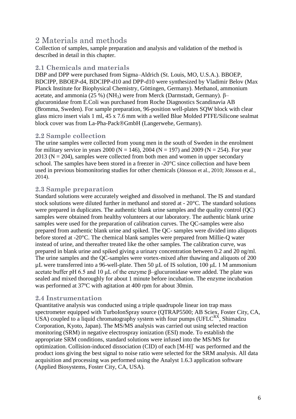# <span id="page-5-0"></span>2 Materials and methods

Collection of samples, sample preparation and analysis and validation of the method is described in detail in this chapter.

#### <span id="page-5-1"></span>**2.1 Chemicals and materials**

DBP and DPP were purchased from Sigma–Aldrich (St. Louis, MO, U.S.A.). BBOEP, BDCIPP, BBOEP-d4, BDCIPP-d10 and DPP-d10 were synthesized by Vladimir Belov (Max Planck Institute for Biophysical Chemistry, Göttingen, Germany). Methanol, ammonium acetate, and ammonia (25 %) (NH<sub>3</sub>) were from Merck (Darmstadt, Germany). β– glucuronidase from E.Coli was purchased from Roche Diagnostics Scandinavia AB (Bromma, Sweden). For sample preparation, 96-position well-plates SQW block with clear glass micro insert vials 1 ml, 45 x 7.6 mm with a welled Blue Molded PTFE/Silicone sealmat block cover was from La-Pha-Pack®GmbH (Langerwehe, Germany).

## <span id="page-5-2"></span>**2.2 Sample collection**

The urine samples were collected from young men in the south of Sweden in the enrolment for military service in years 2000 (N = 146), 2004 (N = 197) and 2009 (N = 254). For year  $2013$  (N = 204), samples were collected from both men and women in upper secondary school. The samples have been stored in a freezer in -20°C since collection and have been used in previous biomonitoring studies for other chemicals (Jönsson et al., 2010; Jönsson et al., 2014).

## <span id="page-5-3"></span>**2.3 Sample preparation**

Standard solutions were accurately weighed and dissolved in methanol. The IS and standard stock solutions were diluted further in methanol and stored at - 20°C. The standard solutions were prepared in duplicates. The authentic blank urine samples and the quality control (QC) samples were obtained from healthy volunteers at our laboratory. The authentic blank urine samples were used for the preparation of calibration curves. The QC-samples were also prepared from authentic blank urine and spiked. The QC- samples were divided into aliquots before stored at -20°C. The chemical blank samples were prepared from Millie-Q water instead of urine, and thereafter treated like the other samples. The calibration curve, was prepared in blank urine and spiked giving a urinary concentration between 0.2 and 20 ng/ml. The urine samples and the QC-samples were vortex-mixed after thawing and aliquots of 200 µL were transferred into a 96-well-plate. Then 50 µL of IS solution, 100 μL 1 M ammonium acetate buffer pH 6.5 and 10 μL of the enzyme β–glucuronidase were added. The plate was sealed and mixed thoroughly for about 1 minute before incubation. The enzyme incubation was performed at 37ºC with agitation at 400 rpm for about 30min.

#### <span id="page-5-4"></span>**2.4 Instrumentation**

Quantitative analysis was conducted using a triple quadrupole linear ion trap mass spectrometer equipped with TurboIonSpray source (QTRAP5500; AB Sciex, Foster City, CA, USA) coupled to a liquid chromatography system with four pumps (UFL $C^{RX}$ , Shimadzu Corporation, Kyoto, Japan). The MS/MS analysis was carried out using selected reaction monitoring (SRM) in negative electrospray ionization (ESI) mode. To establish the appropriate SRM conditions, standard solutions were infused into the MS/MS for optimization. Collision-induced dissociation (CID) of each [M-H]- was performed and the product ions giving the best signal to noise ratio were selected for the SRM analysis. All data acquisition and processing was performed using the Analyst 1.6.3 application software (Applied Biosystems, Foster City, CA, USA).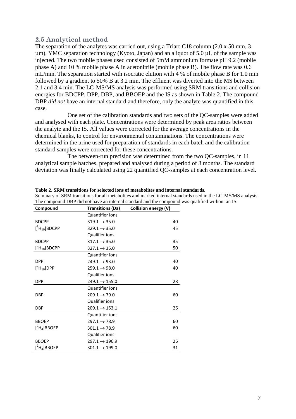#### <span id="page-6-0"></span>**2.5 Analytical method**

The separation of the analytes was carried out, using a Triart-C18 column (2.0 x 50 mm, 3 µm), YMC separation technology (Kyoto, Japan) and an aliquot of 5.0 µL of the sample was injected. The two mobile phases used consisted of 5mM ammonium formate pH 9.2 (mobile phase A) and 10 % mobile phase A in acetonitrile (mobile phase B). The flow rate was 0.6 mL/min. The separation started with isocratic elution with 4 % of mobile phase B for 1.0 min followed by a gradient to 50% B at 3.2 min. The effluent was diverted into the MS between 2.1 and 3.4 min. The LC-MS/MS analysis was performed using SRM transitions and collision energies for BDCPP, DPP, DBP, and BBOEP and the IS as shown in Table 2. The compound DBP *did not* have an internal standard and therefore, only the analyte was quantified in this case.

One set of the calibration standards and two sets of the QC-samples were added and analysed with each plate. Concentrations were determined by peak area ratios between the analyte and the IS. All values were corrected for the average concentrations in the chemical blanks, to control for environmental contaminations. The concentrations were determined in the urine used for preparation of standards in each batch and the calibration standard samples were corrected for these concentrations.

The between-run precision was determined from the two QC-samples, in 11 analytical sample batches, prepared and analysed during a period of 3 months. The standard deviation was finally calculated using 22 quantified QC-samples at each concentration level.

| Compound                    | <b>Transitions (Da)</b>   | Collision energy (V) |
|-----------------------------|---------------------------|----------------------|
|                             | <b>Quantifier ions</b>    |                      |
| <b>BDCPP</b>                | $319.1 \rightarrow 35.0$  | 40                   |
| $[^2H_{10}]$ BDCPP          | $329.1 \rightarrow 35.0$  | 45                   |
|                             | Qualifier ions            |                      |
| <b>BDCPP</b>                | $317.1 \rightarrow 35.0$  | 35                   |
| $[^2H_{10}]$ BDCPP          | $327.1 \rightarrow 35.0$  | 50                   |
|                             | <b>Quantifier ions</b>    |                      |
| <b>DPP</b>                  | $249.1 \rightarrow 93.0$  | 40                   |
| $[^2H_{10}]$ DPP            | $259.1 \rightarrow 98.0$  | 40                   |
|                             | <b>Qualifier ions</b>     |                      |
| <b>DPP</b>                  | $249.1 \rightarrow 155.0$ | 28                   |
|                             | <b>Quantifier ions</b>    |                      |
| <b>DBP</b>                  | $209.1 \rightarrow 79.0$  | 60                   |
|                             | Qualifier ions            |                      |
| <b>DBP</b>                  | $209.1 \rightarrow 153.1$ | 26                   |
|                             | <b>Quantifier ions</b>    |                      |
| <b>BBOEP</b>                | $297.1 \rightarrow 78.9$  | 60                   |
| $[^2$ H <sub>4</sub> ]BBOEP | $301.1 \rightarrow 78.9$  | 60                   |
|                             | <b>Qualifier ions</b>     |                      |
| <b>BBOEP</b>                | $297.1 \rightarrow 196.9$ | 26                   |
| $[^4$ H <sub>4</sub> ]BBOEP | $301.1 \rightarrow 199.0$ | 31                   |

**Table 2. SRM transitions for selected ions of metabolites and internal standards.**

Summary of SRM transitions for all metabolites and marked internal standards used in the LC-MS/MS analysis. The compound DBP did not have an internal standard and the compound was qualified without an IS.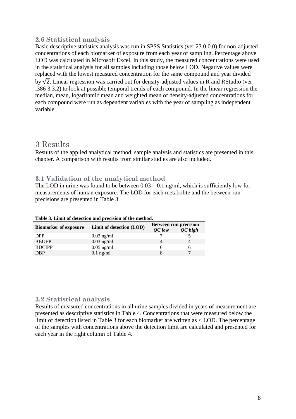## <span id="page-7-0"></span>**2.6 Statistical analysis**

Basic descriptive statistics analysis was run in SPSS Statistics (ver 23.0.0.0) for non-adjusted concentrations of each biomarker of exposure from each year of sampling. Percentage above LOD was calculated in Microsoft Excel. In this study, the measured concentrations were used in the statistical analysis for all samples including those below LOD. Negative values were replaced with the lowest measured concentration for the same compound and year divided

by  $\sqrt{2}$ . Linear regression was carried out for density-adjusted values in R and RStudio (ver i386 3.3.2) to look at possible temporal trends of each compound. In the linear regression the median, mean, logarithmic mean and weighted mean of density-adjusted concentrations for each compound were run as dependent variables with the year of sampling as independent variable.

## <span id="page-7-1"></span>3 Results

Results of the applied analytical method, sample analysis and statistics are presented in this chapter. A comparison with results from similar studies are also included.

#### <span id="page-7-2"></span>**3.1 Validation of the analytical method**

The LOD in urine was found to be between  $0.03 - 0.1$  ng/ml, which is sufficiently low for measurements of human exposure. The LOD for each metabolite and the between-run precisions are presented in Table 3.

|                              |                          | <b>Between run precision</b> |           |  |  |  |  |
|------------------------------|--------------------------|------------------------------|-----------|--|--|--|--|
| <b>Biomarker of exposure</b> | Limit of detection (LOD) | <b>OC</b> low                | $QC$ high |  |  |  |  |
| <b>DPP</b>                   | $0.03$ ng/ml             |                              |           |  |  |  |  |
| <b>BBOEP</b>                 | $0.03$ ng/ml             |                              |           |  |  |  |  |
| <b>BDCIPP</b>                | $0.05$ ng/ml             |                              |           |  |  |  |  |
| <b>DBP</b>                   | $0.1$ ng/ml              |                              | ⇁         |  |  |  |  |

**Table 3. Limit of detection and precision of the method.** 

#### <span id="page-7-3"></span>**3.2 Statistical analysis**

Results of measured concentrations in all urine samples divided in years of measurement are presented as descriptive statistics in Table 4. Concentrations that were measured below the limit of detection listed in Table 3 for each biomarker are written as < LOD. The percentage of the samples with concentrations above the detection limit are calculated and presented for each year in the right column of Table 4.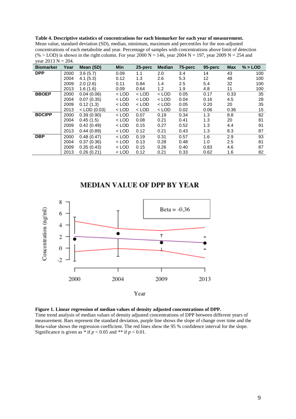**Table 4. Descriptive statistics of concentrations for each biomarker for each year of measurement.** Mean value, standard deviation (SD), median, minimum, maximum and percentiles for the non-adjusted concentrations of each metabolite and year. Percentage of samples with concentrations above limit of detection (% > LOD) is shown in the right column. For year 2000 N = 146, year 2004 N = 197, year 2009 N = 254 and year  $2013 \text{ N} = 204$ .

| <b>Biomarker</b> | Year | Mean (SD)      | Min     | 25-perc | <b>Median</b> | 75-perc | 95-perc           | <b>Max</b> | $% >$ LOD |
|------------------|------|----------------|---------|---------|---------------|---------|-------------------|------------|-----------|
| <b>DPP</b>       | 2000 | 3.6(5.7)       | 0.09    | 1.1     | 2.0           | 3.4     | 14                | 43         | 100       |
|                  | 2004 | 4.1(5.3)       | 0.12    | 1.3     | 2.6           | 5.3     | $12 \overline{ }$ | 48         | 100       |
|                  | 2009 | 2.0(2.6)       | 0.11    | 0.84    | 1.4           | 2.5     | 5.4               | 32         | 100       |
|                  | 2013 | 1.6(1.6)       | 0.09    | 0.64    | 1.2           | 1.9     | 4.8               | 11         | 100       |
| <b>BBOEP</b>     | 2000 | 0.04(0.06)     | $<$ LOD | $<$ LOD | $<$ LOD       | 0.05    | 0.17              | 0.33       | 35        |
|                  | 2004 | 0.07(0.35)     | $<$ LOD | $<$ LOD | $<$ LOD       | 0.04    | 0.16              | 4.5        | 28        |
|                  | 2009 | 0.12(1.3)      | $<$ LOD | $<$ LOD | $<$ LOD       | 0.05    | 0.20              | 20         | 35        |
|                  | 2013 | $<$ LOD (0.03) | $<$ LOD | $<$ LOD | $<$ LOD       | 0.02    | 0.06              | 0.36       | 15        |
| <b>BDCIPP</b>    | 2000 | 0.39(0.90)     | $<$ LOD | 0.07    | 0.19          | 0.34    | 1.3               | 8.8        | 82        |
|                  | 2004 | 0.45(1.5)      | $<$ LOD | 0.08    | 0.21          | 0.41    | 1.3               | 20         | 81        |
|                  | 2009 | 0.42(0.49)     | $<$ LOD | 0.15    | 0.27          | 0.52    | 1.3               | 4.4        | 91        |
|                  | 2013 | 0.44(0.89)     | $<$ LOD | 0.12    | 0.21          | 0.43    | 1.3               | 8.3        | 87        |
| <b>DBP</b>       | 2000 | 0.48(0.47)     | $<$ LOD | 0.19    | 0.31          | 0.57    | 1.6               | 2.9        | 93        |
|                  | 2004 | 0.37(0.36)     | $<$ LOD | 0.13    | 0.28          | 0.48    | 1.0               | 2.5        | 81        |
|                  | 2009 | 0.35(0.43)     | $<$ LOD | 0.15    | 0.26          | 0.40    | 0.83              | 4.6        | 87        |
|                  | 2013 | 0.26(0.21)     | $<$ LOD | 0.12    | 0.21          | 0.33    | 0.62              | 1.6        | 82        |

#### **MEDIAN VALUE OF DPP BY YEAR**



**Figure 1. Linear regression of median values of density adjusted concentrations of DPP.** Time trend analysis of median values of density adjusted concentrations of DPP between different years of measurement. Bars represent the standard deviation, purple line shows the slope of change over time and the Beta-value shows the regression coefficient. The red lines show the 95 % confidence interval for the slope. Significance is given as  $*$  if  $p < 0.05$  and  $**$  if  $p < 0.01$ .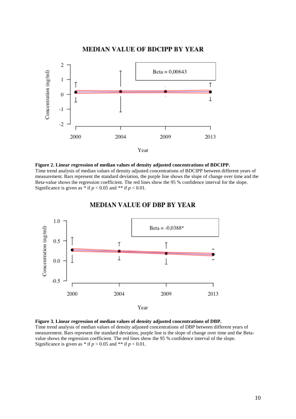

**Figure 2. Linear regression of median values of density adjusted concentrations of BDCIPP.** Time trend analysis of median values of density adjusted concentrations of BDCIPP between different years of measurement. Bars represent the standard deviation, the purple line shows the slope of change over time and the Beta-value shows the regression coefficient. The red lines show the 95 % confidence interval for the slope. Significance is given as  $*$  if  $p < 0.05$  and  $**$  if  $p < 0.01$ .



#### **MEDIAN VALUE OF DBP BY YEAR**

**Figure 3. Linear regression of median values of density adjusted concentrations of DBP.** Time trend analysis of median values of density adjusted concentrations of DBP between different years of measurement. Bars represent the standard deviation, purple line is the slope of change over time and the Betavalue shows the regression coefficient. The red lines show the 95 % confidence interval of the slope. Significance is given as  $*$  if  $p < 0.05$  and  $**$  if  $p < 0.01$ .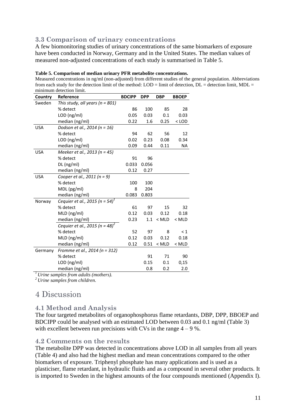## <span id="page-10-0"></span>**3.3 Comparison of urinary concentrations**

A few biomonitoring studies of urinary concentrations of the same biomarkers of exposure have been conducted in Norway, Germany and in the United States. The median values of measured non-adjusted concentrations of each study is summarised in Table 5.

| minimum detection limit. |                                            |               |            |            |              |  |  |  |  |  |
|--------------------------|--------------------------------------------|---------------|------------|------------|--------------|--|--|--|--|--|
| Country                  | Reference                                  | <b>BDCIPP</b> | <b>DPP</b> | <b>DBP</b> | <b>BBOEP</b> |  |  |  |  |  |
| Sweden                   | This study, all years ( $n = 801$ )        |               |            |            |              |  |  |  |  |  |
|                          | % detect                                   | 86            | 100        | 85         | 28           |  |  |  |  |  |
|                          | LOD (ng/ml)                                | 0.05          | 0.03       | 0.1        | 0.03         |  |  |  |  |  |
|                          | median (ng/ml)                             | 0.22          | 1.6        | 0.25       | $<$ LOD      |  |  |  |  |  |
| <b>USA</b>               | Dodson et al., 2014 (n = 16)               |               |            |            |              |  |  |  |  |  |
|                          | % detect                                   | 94            | 62         | 56         | 12           |  |  |  |  |  |
|                          | LOD (ng/ml)                                | 0.02          | 0.23       | 0.08       | 0.34         |  |  |  |  |  |
|                          | median (ng/ml)                             | 0.09          | 0.44       | 0.11       | NA           |  |  |  |  |  |
| <b>USA</b>               | Meeker et al., 2013 (n = 45)               |               |            |            |              |  |  |  |  |  |
|                          | % detect                                   | 91            | 96         |            |              |  |  |  |  |  |
|                          | DL (ng/ml)                                 | 0.033         | 0.056      |            |              |  |  |  |  |  |
|                          | median (ng/ml)                             | 0.12          | 0.27       |            |              |  |  |  |  |  |
| <b>USA</b>               | Cooper et al., 2011 (n = 9)                |               |            |            |              |  |  |  |  |  |
|                          | % detect                                   | 100           | 100        |            |              |  |  |  |  |  |
|                          | MDL (pg/ml)                                | 8             | 204        |            |              |  |  |  |  |  |
|                          | median (ng/ml)                             | 0.083         | 0.803      |            |              |  |  |  |  |  |
| Norway                   | Cequier et al., 2015 (n = 54) <sup>1</sup> |               |            |            |              |  |  |  |  |  |
|                          | % detect                                   | 61            | 97         | 15         | 32           |  |  |  |  |  |
|                          | MLD (ng/ml)                                | 0.12          | 0.03       | 0.12       | 0.18         |  |  |  |  |  |
|                          | median (ng/ml)                             | 0.23          | 1.1        | $<$ MLD    | $<$ MLD      |  |  |  |  |  |
|                          | Cequier et al., 2015 (n = 48) <sup>2</sup> |               |            |            |              |  |  |  |  |  |
|                          | % detect                                   | 52            | 97         | 8          | $\leq 1$     |  |  |  |  |  |
|                          | MLD (ng/ml)                                | 0.12          | 0.03       | 0.12       | 0.18         |  |  |  |  |  |
|                          | median (ng/ml)                             | 0.12          | 0.51       | $<$ MLD    | $<$ MLD      |  |  |  |  |  |
| Germany                  | Fromme et al., 2014 (n = 312)              |               |            |            |              |  |  |  |  |  |
|                          | % detect                                   |               | 91         | 71         | 90           |  |  |  |  |  |
|                          | LOD (ng/ml)                                |               | 0.15       | 0.1        | 0,15         |  |  |  |  |  |
|                          | median (ng/ml)                             |               | 0.8        | 0.2        | 2.0          |  |  |  |  |  |
|                          |                                            |               |            |            |              |  |  |  |  |  |

#### **Table 5. Comparison of median urinary PFR metabolite concentrations.**

Measured concentrations in ng/ml (non-adjusted) from different studies of the general population. Abbreviations from each study for the detection limit of the method:  $LOD =$  limit of detection,  $DL =$  detection limit,  $MDL =$ minimum detection limit.

*<sup>1</sup>Urine samples from adults (mothers).*

<span id="page-10-1"></span>*<sup>2</sup>Urine samples from children.*

## 4 Discussion

#### <span id="page-10-2"></span>**4.1 Method and Analysis**

The four targeted metabolites of organophosphorus flame retardants, DBP, DPP, BBOEP and BDCIPP could be analysed with an estimated LOD between 0.03 and 0.1 ng/ml (Table 3) with excellent between run precisions with CVs in the range  $4 - 9$ %.

#### <span id="page-10-3"></span>**4.2 Comments on the results**

The metabolite DPP was detected in concentrations above LOD in all samples from all years (Table 4) and also had the highest median and mean concentrations compared to the other biomarkers of exposure. Triphenyl phosphate has many applications and is used as a plasticiser, flame retardant, in hydraulic fluids and as a compound in several other products. It is imported to Sweden in the highest amounts of the four compounds mentioned (Appendix I).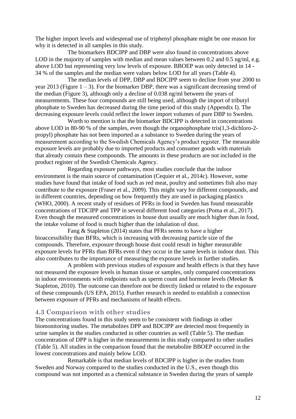The higher import levels and widespread use of triphenyl phosphate might be one reason for why it is detected in all samples in this study.

The biomarkers BDCIPP and DBP were also found in concentrations above LOD in the majority of samples with median and mean values between 0.2 and 0.5 ng/ml, e.g. above LOD but representing very low levels of exposure. BBOEP was only detected in 14 - 34 % of the samples and the median were values below LOD for all years (Table 4).

The median levels of DPP, DBP and BDCIPP seem to decline from year 2000 to year 2013 (Figure  $1 - 3$ ). For the biomarker DBP, there was a significant decreasing trend of the median (Figure 3), although only a decline of 0.038 ng/ml between the years of measurements. These four compounds are still being used, although the import of tributyl phosphate to Sweden has decreased during the time period of this study (Appendix I). The decreasing exposure levels could reflect the lower import volumes of pure DBP to Sweden.

Worth to mention is that the biomarker BDCIPP is detected in concentrations above LOD in 80-90 % of the samples, even though the organophosphate tris(1,3-dichloro-2 propyl) phosphate has not been imported as a substance to Sweden during the years of measurement according to the Swedish Chemicals Agency's product register. The measurable exposure levels are probably due to imported products and consumer goods with materials that already contain these compounds. The amounts in these products are not included in the product register of the Swedish Chemicals Agency.

Regarding exposure pathways, most studies conclude that the indoor environment is the main source of contamination (Cequier et al., 2014c). However, some studies have found that intake of food such as red meat, poultry and sometimes fish also may contribute to the exposure (Fraser et al., 2009). This might vary for different compounds, and in different countries, depending on how frequently they are used in packaging plastics (WHO, 2000). A recent study of residues of PFRs in food in Sweden has found measurable concentrations of TDCIPP and TPP in several different food categories (Poma et al., 2017). Even though the measured concentrations in house dust usually are much higher than in food, the intake volume of food is much higher than the inhalation of dust.

Fang & Stapleton (2014) states that PFRs seems to have a higher bioaccessibility than BFRs, which is increasing with decreasing particle size of the compounds. Therefore, exposure through house dust could result in higher measurable exposure levels for PFRs than BFRs even if they occur in the same levels in indoor dust. This also contributes to the importance of measuring the exposure levels in further studies.

A problem with previous studies of exposure and health effects is that they have not measured the exposure levels in human tissue or samples, only compared concentrations in indoor environments with endpoints such as sperm count and hormone levels (Meeker  $\&$ Stapleton, 2010). The outcome can therefore not be directly linked or related to the exposure of these compounds (US EPA, 2015). Further research is needed to establish a connection between exposure of PFRs and mechanisms of health effects.

#### <span id="page-11-0"></span>**4.3 Comparison with other studies**

The concentrations found in this study seem to be consistent with findings in other biomonitoring studies. The metabolites DPP and BDCIPP are detected most frequently in urine samples in the studies conducted in other countries as well (Table 5). The median concentration of DPP is higher in the measurements in this study compared to other studies (Table 5). All studies in the comparison found that the metabolite BBOEP occurred in the lowest concentrations and mainly below LOD.

Remarkable is that median levels of BDCIPP is higher in the studies from Sweden and Norway compared to the studies conducted in the U.S., even though this compound was not imported as a chemical substance in Sweden during the years of sample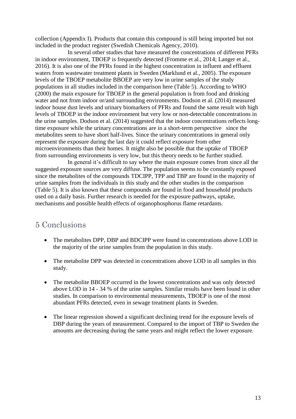collection (Appendix I). Products that contain this compound is still being imported but not included in the product register (Swedish Chemicals Agency, 2010).

In several other studies that have measured the concentrations of different PFRs in indoor environment, TBOEP is frequently detected (Fromme et al., 2014; Langer et al., 2016). It is also one of the PFRs found in the highest concentration in influent and effluent waters from wastewater treatment plants in Sweden (Marklund et al., 2005). The exposure levels of the TBOEP metabolite BBOEP are very low in urine samples of the study populations in all studies included in the comparison here (Table 5). According to WHO (2000) the main exposure for TBOEP in the general population is from food and drinking water and not from indoor or/and surrounding environments. Dodson et al. (2014) measured indoor house dust levels and urinary biomarkers of PFRs and found the same result with high levels of TBOEP in the indoor environment but very low or non-detectable concentrations in the urine samples. Dodson et al. (2014) suggested that the indoor concentrations reflects longtime exposure while the urinary concentrations are in a short-term perspective since the metabolites seem to have short half-lives. Since the urinary concentrations in general only represent the exposure during the last day it could reflect exposure from other microenvironments than their homes. It might also be possible that the uptake of TBOEP from surrounding environments is very low, but this theory needs to be further studied.

In general it's difficult to say where the main exposure comes from since all the suggested exposure sources are very diffuse. The population seems to be constantly exposed since the metabolites of the compounds TDCIPP, TPP and TBP are found in the majority of urine samples from the individuals in this study and the other studies in the comparison (Table 5). It is also known that these compounds are found in food and household products used on a daily basis. Further research is needed for the exposure pathways, uptake, mechanisms and possible health effects of organophosphorus flame retardants.

## <span id="page-12-0"></span>5 Conclusions

- The metabolites DPP, DBP and BDCIPP were found in concentrations above LOD in the majority of the urine samples from the population in this study.
- The metabolite DPP was detected in concentrations above LOD in all samples in this study.
- The metabolite BBOEP occurred in the lowest concentrations and was only detected above LOD in 14 - 34 % of the urine samples. Similar results have been found in other studies. In comparison to environmental measurements, TBOEP is one of the most abundant PFRs detected, even in sewage treatment plants in Sweden.
- The linear regression showed a significant declining trend for the exposure levels of DBP during the years of measurement. Compared to the import of TBP to Sweden the amounts are decreasing during the same years and might reflect the lower exposure.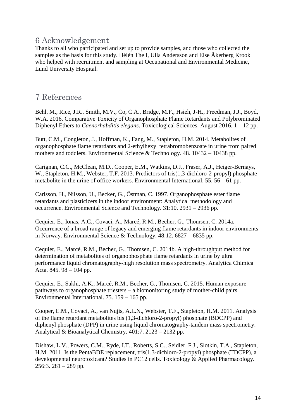# <span id="page-13-0"></span>6 Acknowledgement

Thanks to all who participated and set up to provide samples, and those who collected the samples as the basis for this study. Hélèn Thell, Ulla Andersson and Else Åkerberg Krook who helped with recruitment and sampling at Occupational and Environmental Medicine, Lund University Hospital.

## <span id="page-13-1"></span>7 References

Behl, M., Rice, J.R., Smith, M.V., Co, C.A., Bridge, M.F., Hsieh, J-H., Freedman, J.J., Boyd, W.A. 2016. Comparative Toxicity of Organophosphate Flame Retardants and Polybrominated Diphenyl Ethers to *Caenorhabditis elegans*. Toxicological Sciences. August 2016. 1 – 12 pp.

Butt, C.M., Congleton, J., Hoffman, K., Fang, M., Stapleton, H.M. 2014. Metabolites of organophosphate flame retardants and 2-ethylhexyl tetrabromobenzoate in urine from paired mothers and toddlers. Environmental Science & Technology. 48. 10432 – 10438 pp.

Carignan, C.C., McClean, M.D., Cooper, E.M., Watkins, D.J., Fraser, A.J., Heiger-Bernays, W., Stapleton, H.M., Webster, T.F. 2013. Predictors of tris(1,3-dichloro-2-propyl) phosphate metabolite in the urine of office workers. Environmental International. 55. 56 – 61 pp.

Carlsson, H., Nilsson, U., Becker, G., Östman, C. 1997. Organophosphate ester flame retardants and plasticizers in the indoor environment: Analytical methodology and occurrence. Environmental Science and Technology. 31:10. 2931 – 2936 pp.

Cequier, E., Ionas, A.C., Covaci, A., Marcé, R.M., Becher, G., Thomsen, C. 2014a. Occurrence of a broad range of legacy and emerging flame retardants in indoor environments in Norway. Environmental Science & Technology. 48:12. 6827 – 6835 pp.

Cequier, E., Marcé, R.M., Becher, G., Thomsen, C. 2014b. A high-throughput method for determination of metabolites of organophosphate flame retardants in urine by ultra performance liquid chromatography-high resolution mass spectrometry. Analytica Chimica Acta. 845. 98 – 104 pp.

Cequier, E., Sakhi, A.K., Marcé, R.M., Becher, G., Thomsen, C. 2015. Human exposure pathways to organophosphate triesters – a biomonitoring study of mother-child pairs. Environmental International. 75. 159 – 165 pp.

Cooper, E.M., Covaci, A., van Nujis, A.L.N., Webster, T.F., Stapleton, H.M. 2011. Analysis of the flame retardant metabolites bis (1,3-dichloro-2-propyl) phosphate (BDCPP) and diphenyl phosphate (DPP) in urine using liquid chromatography-tandem mass spectrometry. Analytical & Bioanalytical Chemistry. 401:7. 2123 – 2132 pp.

Dishaw, L.V., Powers, C.M., Ryde, I.T., Roberts, S.C., Seidler, F.J., Slotkin, T.A., Stapleton, H.M. 2011. Is the PentaBDE replacement, tris(1,3-dichloro-2-propyl) phosphate (TDCPP), a developmental neurotoxicant? Studies in PC12 cells. Toxicology & Applied Pharmacology. 256:3.  $281 - 289$  pp.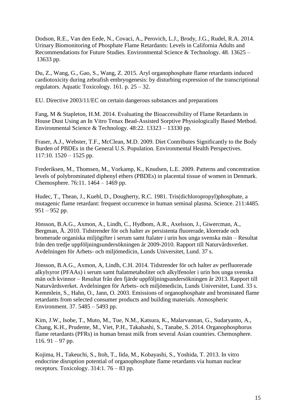Dodson, R.E., Van den Eede, N., Covaci, A., Perovich, L.J., Brody, J.G., Rudel, R.A. 2014. Urinary Biomonitoring of Phosphate Flame Retardants: Levels in California Adults and Recommendations for Future Studies. Environmental Science & Technology. 48. 13625 – 13633 pp.

Du, Z., Wang, G., Gao, S., Wang, Z. 2015. Aryl organophosphate flame retardants induced cardiotoxicity during zebrafish embryogenesis: by disturbing expression of the transcriptional regulators. Aquatic Toxicology. 161. p. 25 – 32.

EU. [Directive 2003/11/EC on certain dangerous substances and preparations](http://eur-lex.europa.eu/LexUriServ/LexUriServ.do?uri=CELEX:32003L0011:en:NOT)

Fang, M & Stapleton, H.M. 2014. Evaluating the Bioaccessibility of Flame Retardants in House Dust Using an In Vitro Tenax Bead-Assisted Sorptive Physiologically Based Method. Environmental Science & Technology. 48:22. 13323 – 13330 pp.

Fraser, A.J., Webster, T.F., McClean, M.D. 2009. Diet Contributes Significantly to the Body Burden of PBDEs in the General U.S. Population. Environmental Health Perspectives.  $117:10. 1520 - 1525$  pp.

Frederiksen, M., Thomsen, M., Vorkamp, K., Knudsen, L.E. 2009. Patterns and concentration levels of polybrominated diphenyl ethers (PBDEs) in placental tissue of women in Denmark. Chemosphere. 76:11. 1464 – 1469 pp.

Hudec, T., Thean, J., Kuehl, D., Dougherty, R.C. 1981. Tris(dichloropropyl)phosphate, a mutagenic flame retardant: frequent occurrence in human seminal plasma. Science. 211:4485. 951 – 952 pp.

Jönsson, B.A.G., Axmon, A., Lindh, C., Hydbom, A.R., Axelsson, J., Giwercman, A., Bergman, Å. 2010. Tidstrender för och halter av persistenta fluorerade, klorerade och bromerade organiska miljögifter i serum samt ftalater i urin hos unga svenska män – Resultat från den tredje uppföljningsundersökningen år 2009-2010. Rapport till Naturvårdsverket. Avdelningen för Arbets- och miljömedicin, Lunds Universitet, Lund. 37 s.

Jönsson, B.A.G., Axmon, A, Lindh, C.H. 2014. Tidstrender för och halter av perfluorerade alkylsyror (PFAAs) i serum samt ftalatmetaboliter och alkylfenoler i urin hos unga svenska män och kvinnor – Resultat från den fjärde uppföljningsundersökningen år 2013. Rapport till Naturvårdsverket. Avdelningen för Arbets- och miljömedicin, Lunds Universitet, Lund. 33 s. Kemmlein, S., Hahn, O., Jann, O. 2003. Emissions of organophosphate and brominated flame retardants from selected consumer products and building materials. Atmospheric Environment. 37. 5485 – 5493 pp.

Kim, J.W., Isobe, T., Muto, M., Tue, N.M., Katsura, K., Malarvannan, G., Sudaryanto, A., Chang, K.H., Prudente, M., Viet, P.H., Takahashi, S., Tanabe, S. 2014. Organophosphorus flame retardants (PFRs) in human breast milk from several Asian countries. Chemosphere. 116.  $91 - 97$  pp.

Kojima, H., Takeuchi, S., Itoh, T., Iida, M., Kobayashi, S., Yoshida, T. 2013. In vitro endocrine disruption potential of organophosphate flame retardants via human nuclear receptors. Toxicology.  $314:1.76 - 83$  pp.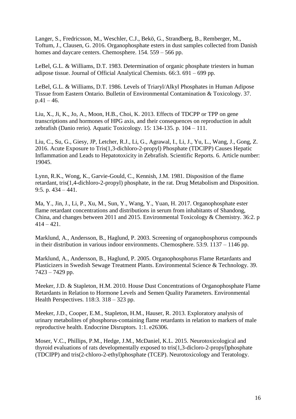Langer, S., Fredricsson, M., Weschler, C.J., Bekö, G., Strandberg, B., Remberger, M., Toftum, J., Clausen, G. 2016. Organophosphate esters in dust samples collected from Danish homes and daycare centers. Chemosphere.  $154$ .  $559 - 566$  pp.

LeBel, G.L. & Williams, D.T. 1983. Determination of organic phosphate triesters in human adipose tissue. Journal of Official Analytical Chemists. 66:3. 691 – 699 pp.

LeBel, G.L. & Williams, D.T. 1986. Levels of Triaryl/Alkyl Phosphates in Human Adipose Tissue from Eastern Ontario. Bulletin of Environmental Contamination & Toxicology. 37.  $p.41 - 46.$ 

Liu, X., Ji, K., Jo, A., Moon, H.B., Choi, K. 2013. Effects of TDCPP or TPP on gene transcriptions and hormones of HPG axis, and their consequences on reproduction in adult zebrafish (Danio rerio). Aquatic Toxicology. 15: 134-135. p. 104 – 111.

Liu, C., Su, G., Giesy, JP, Letcher, R.J., Li, G., Agrawal, I., Li, J., Yu, L., Wang, J., Gong, Z. 2016. Acute Exposure to Tris(1,3-dichloro-2-propyl) Phosphate (TDCIPP) Causes Hepatic Inflammation and Leads to Hepatotoxicity in Zebrafish. Scientific Reports. 6. Article number: 19045.

Lynn, R.K., Wong, K., Garvie-Gould, C., Kennish, J.M. 1981. Disposition of the flame retardant, tris(1,4-dichloro-2-propyl) phosphate, in the rat. Drug Metabolism and Disposition. 9:5. p. 434 – 441.

Ma, Y., Jin, J., Li, P., Xu, M., Sun, Y., Wang, Y., Yuan, H. 2017. Organophosphate ester flame retardant concentrations and distributions in serum from inhabitants of Shandong, China, and changes between 2011 and 2015. Environmental Toxicology & Chemistry. 36:2. p  $414 - 421$ .

Marklund, A., Andersson, B., Haglund, P. 2003. Screening of organophosphorus compounds in their distribution in various indoor environments. Chemosphere. 53:9. 1137 – 1146 pp.

Marklund, A., Andersson, B., Haglund, P. 2005. Organophosphorus Flame Retardants and Plasticizers in Swedish Sewage Treatment Plants. Environmental Science & Technology. 39. 7423 – 7429 pp.

Meeker, J.D. & Stapleton, H.M. 2010. House Dust Concentrations of Organophosphate Flame Retardants in Relation to Hormone Levels and Semen Quality Parameters. Environmental Health Perspectives. 118:3. 318 – 323 pp.

Meeker, J.D., Cooper, E.M., Stapleton, H.M., Hauser, R. 2013. Exploratory analysis of urinary metabolites of phosphorus-containing flame retardants in relation to markers of male reproductive health. Endocrine Disruptors. 1:1. e26306.

Moser, V.C., Phillips, P.M., Hedge, J.M., McDaniel, K.L. 2015. Neurotoxicological and thyroid evaluations of rats developmentally exposed to tris(1,3-dicloro-2-propyl)phosphate (TDCIPP) and tris(2-chloro-2-ethyl)phosphate (TCEP). Neurotoxicology and Teratology.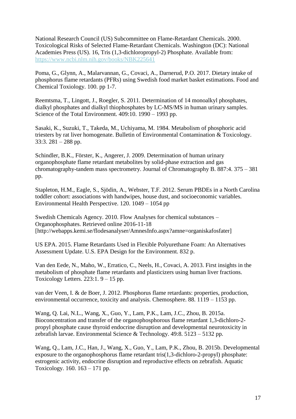National Research Council (US) Subcommittee on Flame-Retardant Chemicals. 2000. Toxicological Risks of Selected Flame-Retardant Chemicals. Washington (DC): National Academies Press (US). 16, Tris (1,3-dichloropropyl-2) Phosphate. Available from: <https://www.ncbi.nlm.nih.gov/books/NBK225641>

Poma, G., Glynn, A., Malarvannan, G., Covaci, A., Darnerud, P.O. 2017. Dietary intake of phosphorus flame retardants (PFRs) using Swedish food market basket estimations. Food and Chemical Toxiology. 100. pp 1-7.

Reemtsma, T., Lingott, J., Roegler, S. 2011. Determination of 14 monoalkyl phosphates, dialkyl phosphates and dialkyl thiophosphates by LC-MS/MS in human urinary samples. Science of the Total Environment. 409:10. 1990 – 1993 pp.

Sasaki, K., Suzuki, T., Takeda, M., Uchiyama, M. 1984. Metabolism of phosphoric acid triesters by rat liver homogenate. Bulletin of Environmental Contamination & Toxicology. 33:3. 281 – 288 pp.

Schindler, B.K., Förster, K., Angerer, J. 2009. Determination of human urinary organophosphate flame retardant metabolites by solid-phase extraction and gas chromatography-tandem mass spectrometry. Journal of Chromatography B. 887:4. 375 – 381 pp.

Stapleton, H.M., Eagle, S., Sjödin, A., Webster, T.F. 2012. Serum PBDEs in a North Carolina toddler cohort: associations with handwipes, house dust, and socioeconomic variables. Environmental Health Perspective. 120. 1049 – 1054 pp

Swedish Chemicals Agency. 2010. Flow Analyses for chemical substances – Organophosphates. Retrieved online 2016-11-18 [http://webapps.kemi.se/flodesanalyser/AmnesInfo.aspx?amne=organiskafosfater]

US EPA. 2015. Flame Retardants Used in Flexible Polyurethane Foam: An Alternatives Assessment Update. U.S. EPA Design for the Environment. 832 p.

Van den Eede, N., Maho, W., Erratico, C., Neels, H., Covaci, A. 2013. First insights in the metabolism of phosphate flame retardants and plasticizers using human liver fractions. Toxicology Letters.  $223:1.9 - 15$  pp.

van der Veen, I. & de Boer, J. 2012. Phosphorus flame retardants: properties, production, environmental occurrence, toxicity and analysis. Chemosphere. 88. 1119 – 1153 pp.

Wang, Q. Lai, N.L., Wang, X., Guo, Y., Lam, P.K., Lam, J.C., Zhou, B. 2015a. Bioconcentration and transfer of the organophosphorous flame retardant 1,3-dichloro-2 propyl phosphate cause thyroid endocrine disruption and developmental neurotoxicity in zebrafish larvae. Environmental Science & Technology. 49:8. 5123 – 5132 pp.

Wang, Q., Lam, J.C., Han, J., Wang, X., Guo, Y., Lam, P.K., Zhou, B. 2015b. Developmental exposure to the organophosphorus flame retardant tris(1,3-dichloro-2-propyl) phosphate: estrogenic activity, endocrine disruption and reproductive effects on zebrafish. Aquatic Toxicology. 160. 163 – 171 pp.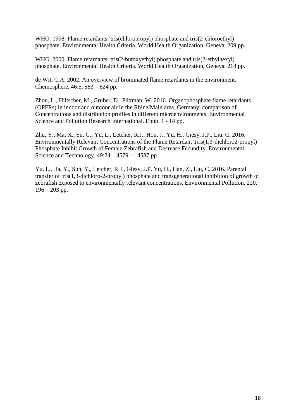WHO. 1998. Flame retardants: tris(chloropropyl) phosphate and tris(2-chloroethyl) phosphate. Environmental Health Criteria. World Health Organization, Geneva. 209 pp.

WHO. 2000. Flame retardants: tris(2-butoxyethyl) phosphate and tris(2-ethylhexyl) phosphate. Environmental Health Criteria. World Health Organization, Geneva. 218 pp.

de Wit, C.A. 2002. An overview of brominated flame retardants in the environment. Chemosphere. 46:5. 583 – 624 pp.

Zhou, L., Hiltscher, M., Gruber, D., Püttman, W. 2016. Organophosphate flame retardants (OPFRs) in indoor and outdoor air in the Rhine/Main area, Germany: comparison of Concentrations and distribution profiles in different microenvironments. Environmental Science and Pollution Research International. Epub. 1 - 14 pp.

Zhu, Y., Ma, X., Su, G., Yu, L., Letcher, R.J., Hou, J., Yu, H., Giesy, J.P., Liu, C. 2016. Environmentally Relevant Concentrations of the Flame Retardant Tris(1,3-dichloro2-propyl) Phosphate Inhibit Growth of Female Zebrafish and Decrease Fecundity. Environmental Science and Technology. 49:24. 14579 – 14587 pp.

Yu, L., Jia, Y., Sun, Y., Letcher, R.J., Giesy, J.P. Yu, H., Han, Z., Liu, C. 2016. Parental transfer of tris(1,3-dichloro-2-propyl) phosphate and transgenerational inhibition of growth of zebrafish exposed to environmentally relevant concentrations. Environmental Pollution. 220.  $196 - 203$  pp.